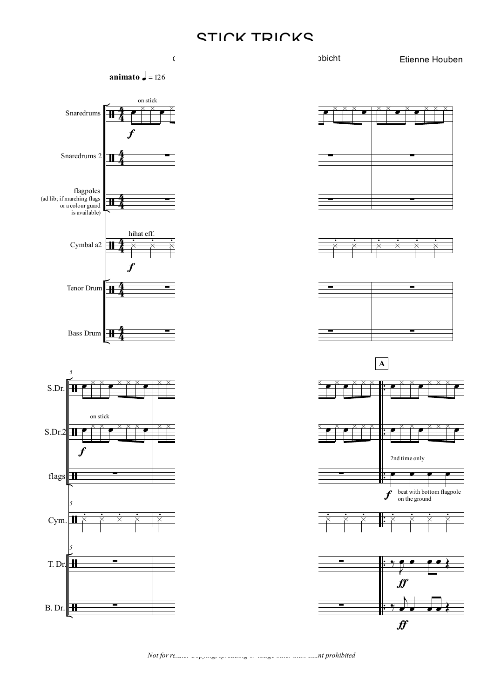## STICK TRICKS







Etienne Houben













*Not for resale. Copying, spreading or usage other than client prohibited*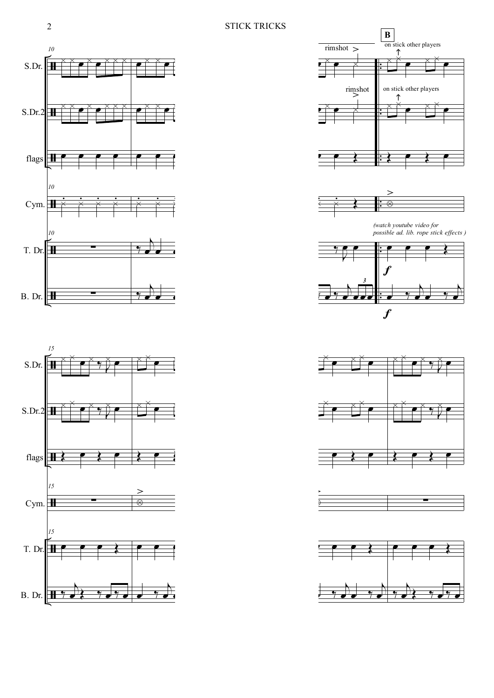## 2 STICK TRICKS

















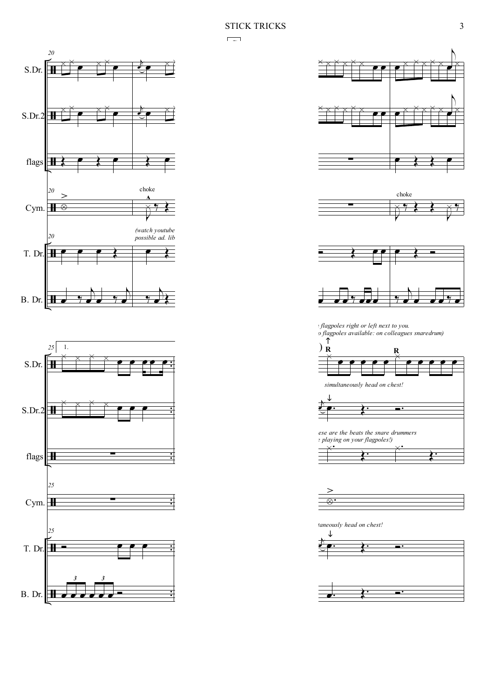$\overline{\mathbf{C}^{\mathbf{c}}(\mathbf{x})}$ 











*on flagpoles right or left next to you. (no flagpoles available: on colleagues snaredrum)*



*simultaneously head on chest!*



*(these are the beats the snare drummers*



X−  $\geq$ 

*simultaneously head on chest!*

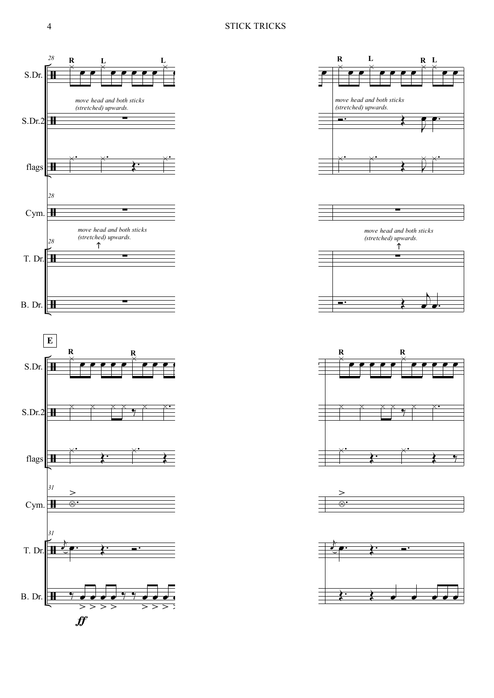













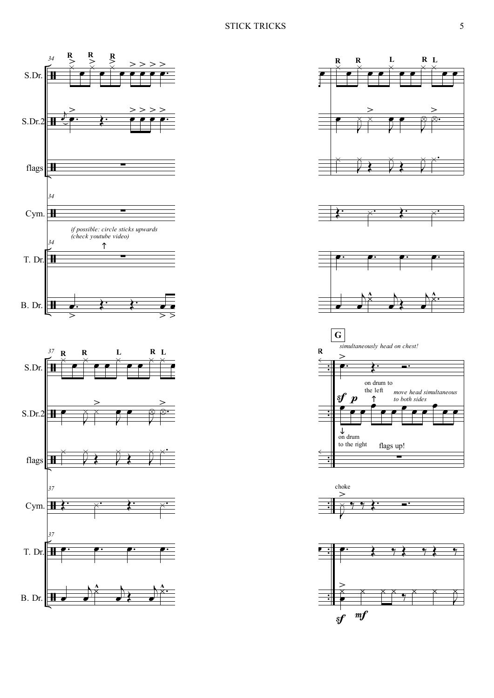